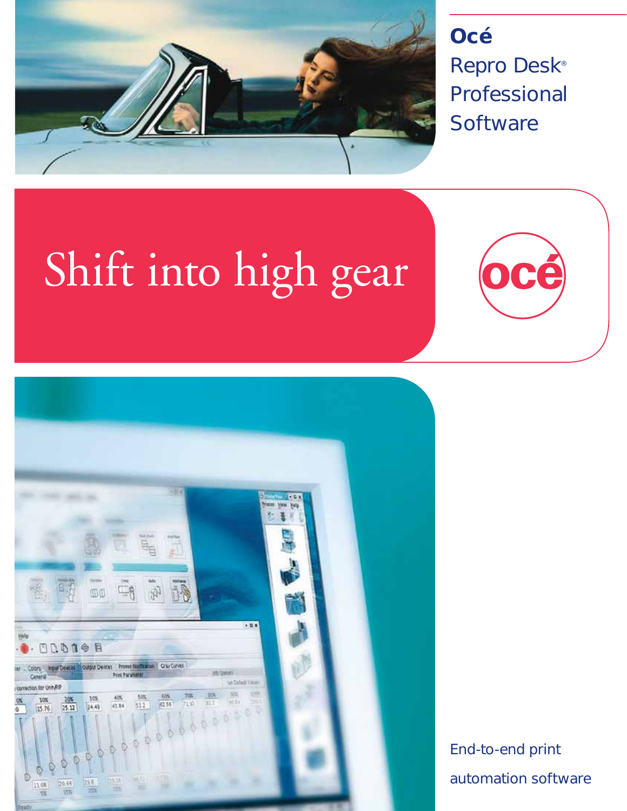

**Océ** Repro Desk<sup>®</sup> Professional **Software** 

# Shift into high gear



End-to-end print automation software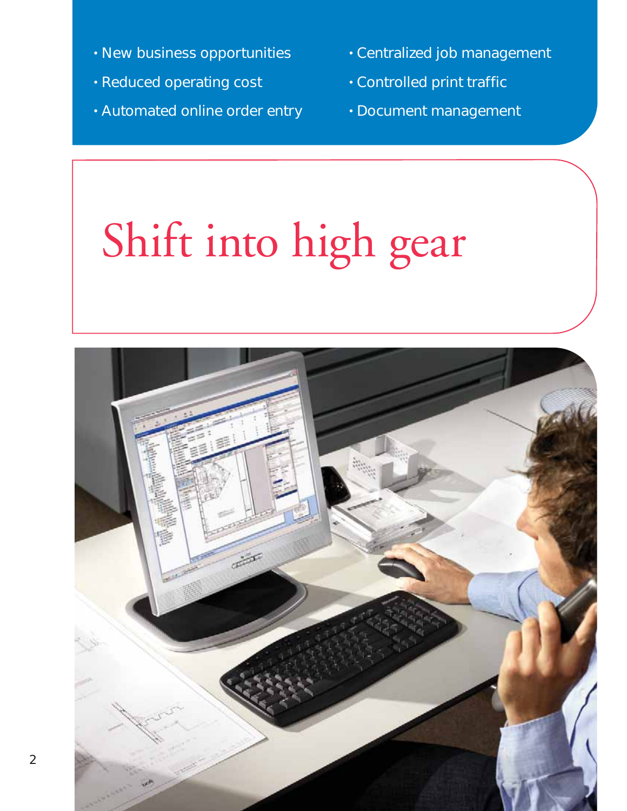- 
- Reduced operating cost
- Automated online order entry
- New business opportunities Centralized job management
	- **Controlled print traffic** 
		- Document management

# Shift into high gear

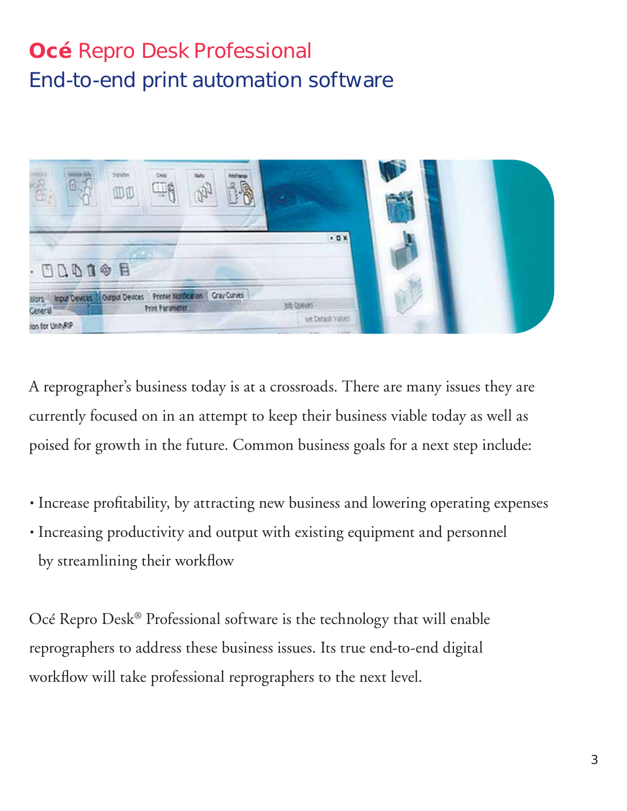## **Océ** Repro Desk Professional End-to-end print automation software



A reprographer's business today is at a crossroads. There are many issues they are currently focused on in an attempt to keep their business viable today as well as poised for growth in the future. Common business goals for a next step include:

- Increase profitability, by attracting new business and lowering operating expenses
- Increasing productivity and output with existing equipment and personnel by streamlining their workflow

Océ Repro Desk® Professional software is the technology that will enable reprographers to address these business issues. Its true end-to-end digital workflow will take professional reprographers to the next level.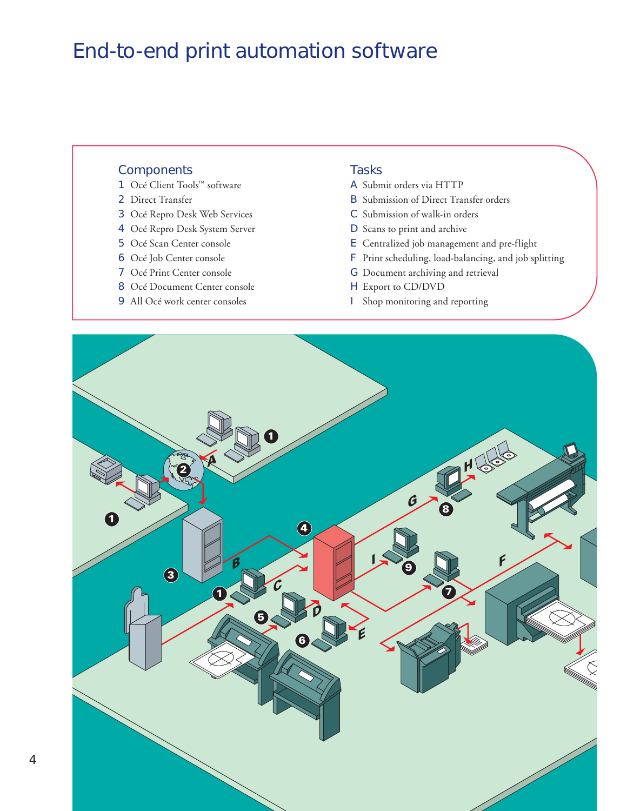## End-to-end print automation software

### **Components**

- 1 Océ Client Tools™ software
- 2 Direct Transfer
- 3 Océ Repro Desk Web Services
- 4 Océ Repro Desk System Server
- 5 Océ Scan Center console
- 6 Océ Job Center console
- 7 Océ Print Center console
- 8 Océ Document Center console
- 9 All Océ work center consoles

#### **Tasks**

- A Submit orders via HTTP
- B Submission of Direct Transfer orders
- C Submission of walk-in orders
- D Scans to print and archive
- E Centralized job management and pre-flight
- F Print scheduling, load-balancing, and job splitting
- G Document archiving and retrieval
- H Export to CD/DVD
- I Shop monitoring and reporting

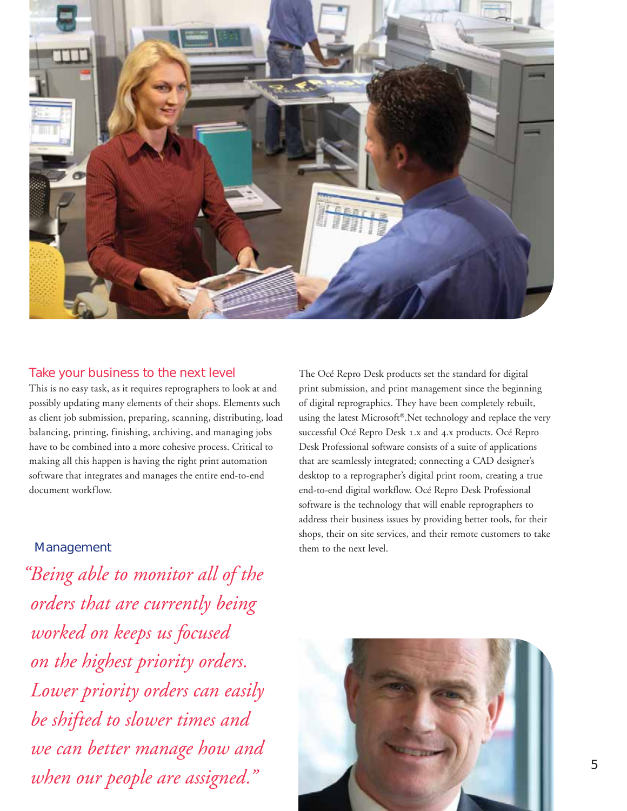

### Take your business to the next level

This is no easy task, as it requires reprographers to look at and possibly updating many elements of their shops. Elements such as client job submission, preparing, scanning, distributing, load balancing, printing, finishing, archiving, and managing jobs have to be combined into a more cohesive process. Critical to making all this happen is having the right print automation software that integrates and manages the entire end-to-end document workflow.

The Océ Repro Desk products set the standard for digital print submission, and print management since the beginning of digital reprographics. They have been completely rebuilt, using the latest Microsoft®.Net technology and replace the very successful Océ Repro Desk 1.x and 4.x products. Océ Repro Desk Professional software consists of a suite of applications that are seamlessly integrated; connecting a CAD designer's desktop to a reprographer's digital print room, creating a true end-to-end digital workflow. Océ Repro Desk Professional software is the technology that will enable reprographers to address their business issues by providing better tools, for their shops, their on site services, and their remote customers to take Management them to the next level.

*" Being able to monitor all of the orders that are currently being worked on keeps us focused on the highest priority orders. Lower priority orders can easily be shifted to slower times and we can better manage how and when our people are assigned."*

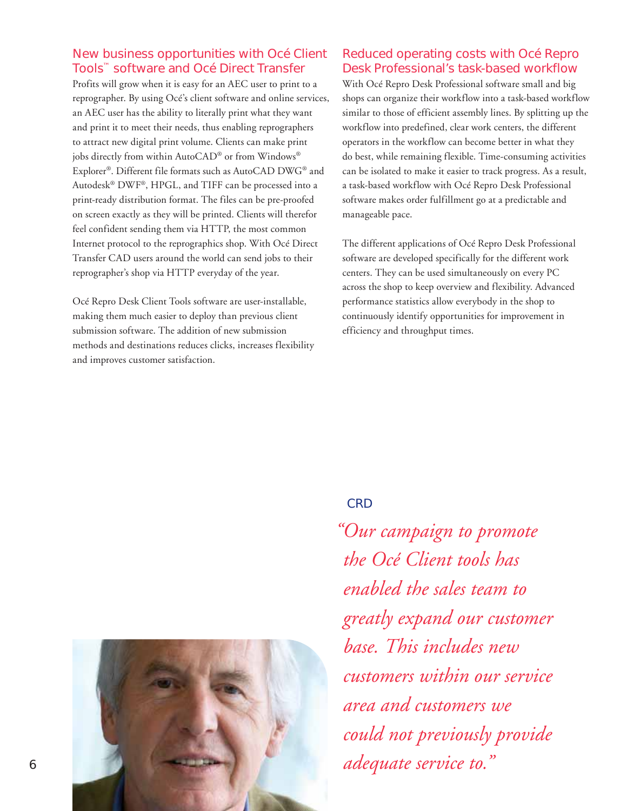### New business opportunities with Océ Client Tools™ software and Océ Direct Transfer

Profits will grow when it is easy for an AEC user to print to a reprographer. By using Océ's client software and online services, an AEC user has the ability to literally print what they want and print it to meet their needs, thus enabling reprographers to attract new digital print volume. Clients can make print jobs directly from within AutoCAD® or from Windows® Explorer®. Different file formats such as AutoCAD DWG® and Autodesk® DWF®, HPGL, and TIFF can be processed into a print-ready distribution format. The files can be pre-proofed on screen exactly as they will be printed. Clients will therefor feel confident sending them via HTTP, the most common Internet protocol to the reprographics shop. With Océ Direct Transfer CAD users around the world can send jobs to their reprographer's shop via HTTP everyday of the year.

Océ Repro Desk Client Tools software are user-installable, making them much easier to deploy than previous client submission software. The addition of new submission methods and destinations reduces clicks, increases flexibility and improves customer satisfaction.

### Reduced operating costs with Océ Repro Desk Professional's task-based workflow

With Océ Repro Desk Professional software small and big shops can organize their workflow into a task-based workflow similar to those of efficient assembly lines. By splitting up the workflow into predefined, clear work centers, the different operators in the workflow can become better in what they do best, while remaining flexible. Time-consuming activities can be isolated to make it easier to track progress. As a result, a task-based workflow with Océ Repro Desk Professional software makes order fulfillment go at a predictable and manageable pace.

The different applications of Océ Repro Desk Professional software are developed specifically for the different work centers. They can be used simultaneously on every PC across the shop to keep overview and flexibility. Advanced performance statistics allow everybody in the shop to continuously identify opportunities for improvement in efficiency and throughput times.

### **CRD**

*" Our campaign to promote the Océ Client tools has enabled the sales team to greatly expand our customer base. This includes new customers within our service area and customers we could not previously provide adequate service to."*

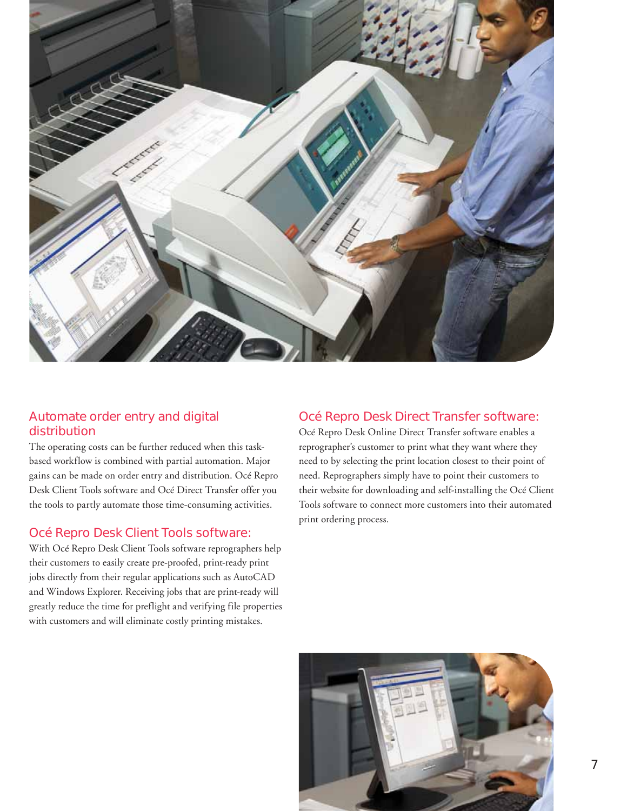

### Automate order entry and digital distribution

The operating costs can be further reduced when this taskbased workflow is combined with partial automation. Major gains can be made on order entry and distribution. Océ Repro Desk Client Tools software and Océ Direct Transfer offer you the tools to partly automate those time-consuming activities.

### Océ Repro Desk Client Tools software:

With Océ Repro Desk Client Tools software reprographers help their customers to easily create pre-proofed, print-ready print jobs directly from their regular applications such as AutoCAD and Windows Explorer. Receiving jobs that are print-ready will greatly reduce the time for preflight and verifying file properties with customers and will eliminate costly printing mistakes.

### Océ Repro Desk Direct Transfer software:

Océ Repro Desk Online Direct Transfer software enables a reprographer's customer to print what they want where they need to by selecting the print location closest to their point of need. Reprographers simply have to point their customers to their website for downloading and self-installing the Océ Client Tools software to connect more customers into their automated print ordering process.

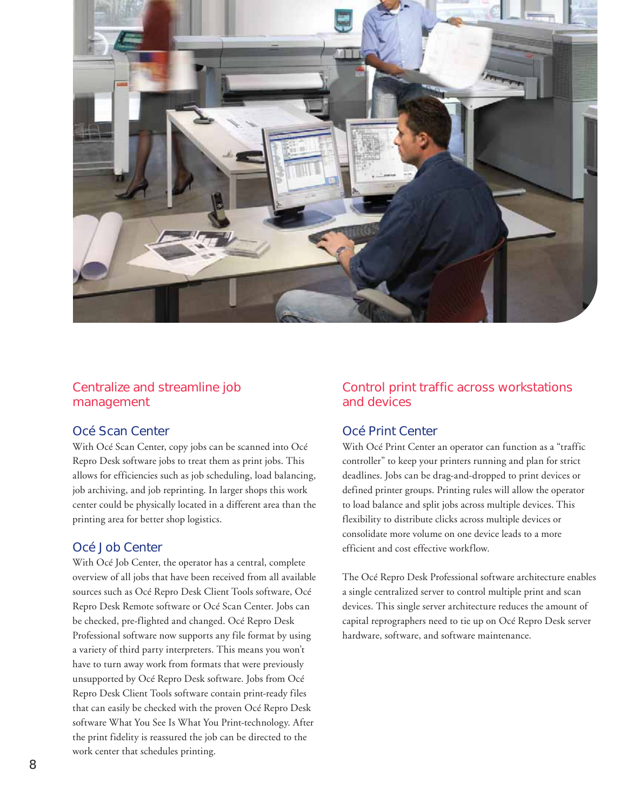

### Centralize and streamline job management

### Océ Scan Center

With Océ Scan Center, copy jobs can be scanned into Océ Repro Desk software jobs to treat them as print jobs. This allows for efficiencies such as job scheduling, load balancing, job archiving, and job reprinting. In larger shops this work center could be physically located in a different area than the printing area for better shop logistics.

### Océ Job Center

With Océ Job Center, the operator has a central, complete overview of all jobs that have been received from all available sources such as Océ Repro Desk Client Tools software, Océ Repro Desk Remote software or Océ Scan Center. Jobs can be checked, pre-flighted and changed. Océ Repro Desk Professional software now supports any file format by using a variety of third party interpreters. This means you won't have to turn away work from formats that were previously unsupported by Océ Repro Desk software. Jobs from Océ Repro Desk Client Tools software contain print-ready files that can easily be checked with the proven Océ Repro Desk software What You See Is What You Print-technology. After the print fidelity is reassured the job can be directed to the work center that schedules printing.

### Control print traffic across workstations and devices

### Océ Print Center

With Océ Print Center an operator can function as a "traffic controller" to keep your printers running and plan for strict deadlines. Jobs can be drag-and-dropped to print devices or defined printer groups. Printing rules will allow the operator to load balance and split jobs across multiple devices. This flexibility to distribute clicks across multiple devices or consolidate more volume on one device leads to a more efficient and cost effective workflow.

The Océ Repro Desk Professional software architecture enables a single centralized server to control multiple print and scan devices. This single server architecture reduces the amount of capital reprographers need to tie up on Océ Repro Desk server hardware, software, and software maintenance.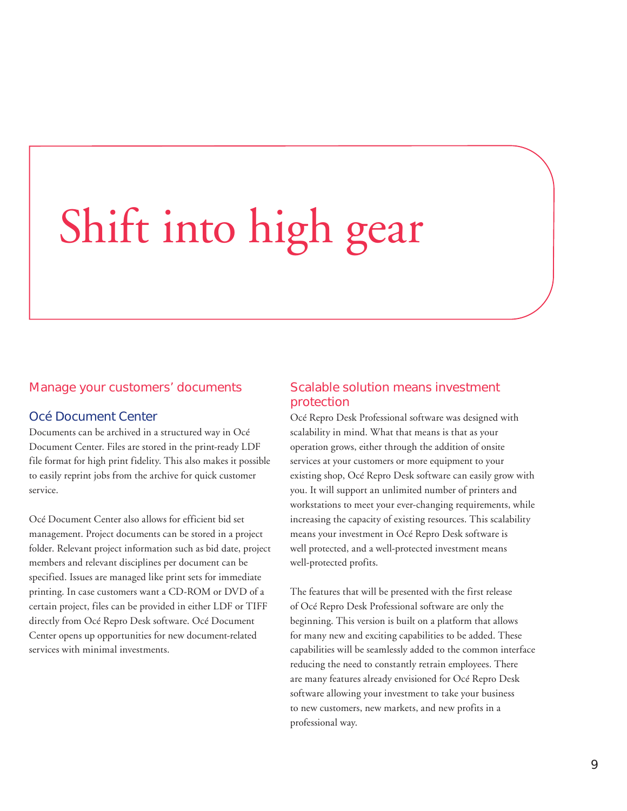## Shift into high gear

### Manage your customers' documents

### Océ Document Center

Documents can be archived in a structured way in Océ Document Center. Files are stored in the print-ready LDF file format for high print fidelity. This also makes it possible to easily reprint jobs from the archive for quick customer service.

Océ Document Center also allows for efficient bid set management. Project documents can be stored in a project folder. Relevant project information such as bid date, project members and relevant disciplines per document can be specified. Issues are managed like print sets for immediate printing. In case customers want a CD-ROM or DVD of a certain project, files can be provided in either LDF or TIFF directly from Océ Repro Desk software. Océ Document Center opens up opportunities for new document-related services with minimal investments.

### Scalable solution means investment protection

Océ Repro Desk Professional software was designed with scalability in mind. What that means is that as your operation grows, either through the addition of onsite services at your customers or more equipment to your existing shop, Océ Repro Desk software can easily grow with you. It will support an unlimited number of printers and workstations to meet your ever-changing requirements, while increasing the capacity of existing resources. This scalability means your investment in Océ Repro Desk software is well protected, and a well-protected investment means well-protected profits.

The features that will be presented with the first release of Océ Repro Desk Professional software are only the beginning. This version is built on a platform that allows for many new and exciting capabilities to be added. These capabilities will be seamlessly added to the common interface reducing the need to constantly retrain employees. There are many features already envisioned for Océ Repro Desk software allowing your investment to take your business to new customers, new markets, and new profits in a professional way.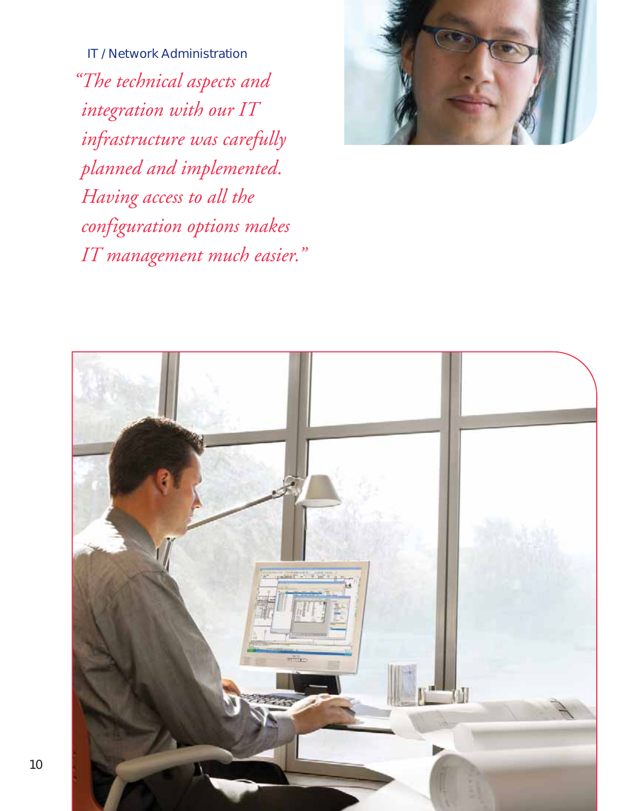IT / Network Administration *" The technical aspects and integration with our IT infrastructure was carefully planned and implemented. Having access to all the configuration options makes IT management much easier."*



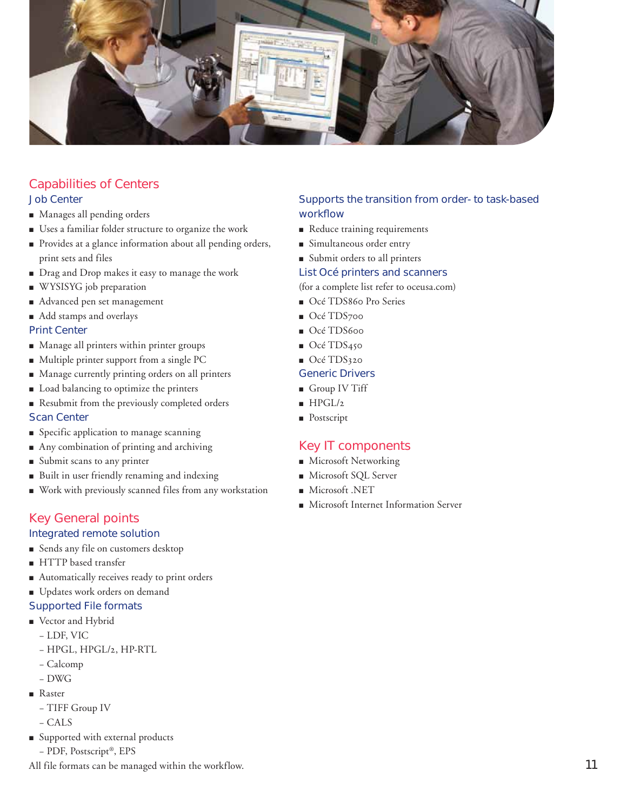

### Capabilities of Centers

### Job Center

- Manages all pending orders
- Uses a familiar folder structure to organize the work
- Provides at a glance information about all pending orders, print sets and files
- Drag and Drop makes it easy to manage the work
- WYSISYG job preparation
- Advanced pen set management
- Add stamps and overlays

### Print Center

- Manage all printers within printer groups
- Multiple printer support from a single PC
- Manage currently printing orders on all printers
- Load balancing to optimize the printers
- **Resubmit from the previously completed orders** Scan Center
- **•** Specific application to manage scanning
- Any combination of printing and archiving
- Submit scans to any printer
- Built in user friendly renaming and indexing
- Work with previously scanned files from any workstation

### Key General points

### Integrated remote solution

- Sends any file on customers desktop
- HTTP based transfer
- Automatically receives ready to print orders
- **Updates work orders on demand**
- Supported File formats
- **•** Vector and Hybrid
	- LDF, VIC
	- HPGL, HPGL/2, HP-RTL
	- Calcomp
	- DWG
- **•** Raster
	- TIFF Group IV
	- CALS
- **•** Supported with external products
	- PDF, Postscript®, EPS

All file formats can be managed within the workflow.

### Supports the transition from order- to task-based workflow

- Reduce training requirements
- Simultaneous order entry
- Submit orders to all printers

### List Océ printers and scanners

(for a complete list refer to oceusa.com)

- Océ TDS860 Pro Series
- Océ TDS700
- Océ TDS600
- Océ TDS450
- Océ TDS320

### Generic Drivers

- **Group IV Tiff**
- $HPGL/2$
- **•** Postscript

### Key IT components

- **Microsoft Networking**
- Microsoft SQL Server
- **Microsoft .NET**
- Microsoft Internet Information Server